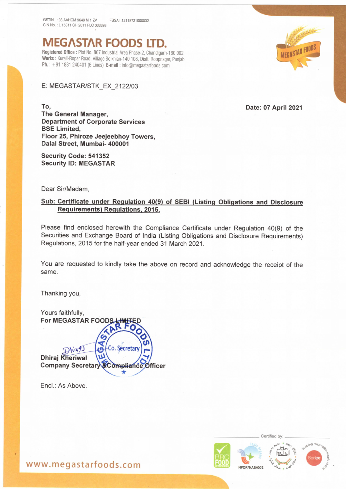فالمورد المنادر والمحامل والمستنقط والمستنقط والمستنقط والمستنقط

## **MEGASTAR FOODS**

Registered Office : Plot No. 807 Industrial Area Phase-2, Chandigarh-160 002 Works : Kurali-Ropar Road, Village Solkhian-140 108, Distt. Roopnagar, Punjab Ph. : +91 1881 240401 (6 Lines) E-mail : info@megastarfoods.com

E: MEGASTAR/STK\_EX\_2122/03

To, Date: 07 April 2021

The General Manager, Department of Corporate Services BSE Limited, Floor 25, Phiroze Jeejeebhoy Towers, Dalal Street, Mumbai- 400001

Security Code: 541352 Security ID: MEGASTAR

Dear Sir/Madam,

## Sub: Certificate under Regulation 40(9) of SEBI (Listing Obligations and Disclosure Requirements) Regulations, 2015.

Please find enclosed herewith the Compliance Certificate under Regulation 40(9) of the Securities and Exchange Board of India (Listing Obligations and Disclosure Requirements) Regulations, 2015 for the half-year ended 31 March 2021.

You are requested to kindly take the above on record and acknowledge the receipt of the same.

Thanking you,

Yours faithfully, For MEGASTAR FOOD Co. Secreta Dhiral **Dhiraj Kheriwal Company Secretary &Compliance Officer** 

Encl.: As Above.